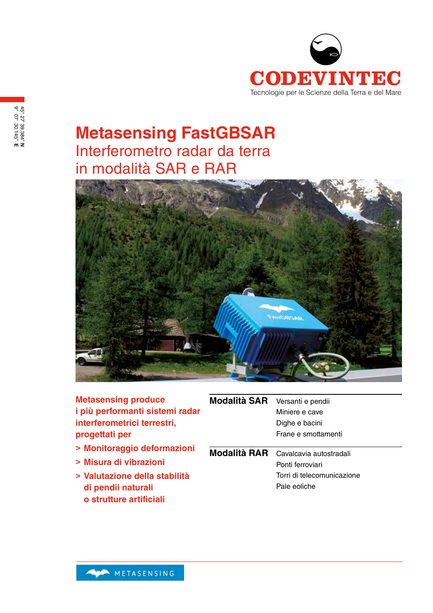

## **Metasensing FastGBSAR** Interferometro radar da terra in modalità SAR e RAR



| <b>Metasensing produce</b>      | Modalità SAR | Versanti e pendii                    |
|---------------------------------|--------------|--------------------------------------|
| i più performanti sistemi radar |              | Miniere e cave                       |
| interferometrici terrestri,     |              | Dighe e bacini                       |
| progettati per                  |              | Frane e smottamenti                  |
| > Monitoraggio deformazioni     |              | Modalità RAR Cavalcavia autostradali |
| > Misura di vibrazioni          |              | Ponti ferroviari                     |
| > Valutazione della stabilità   |              | Torri di telecomunicazione           |
| di pendii naturali              |              | Pale eoliche                         |
| o strutture artificiali         |              |                                      |

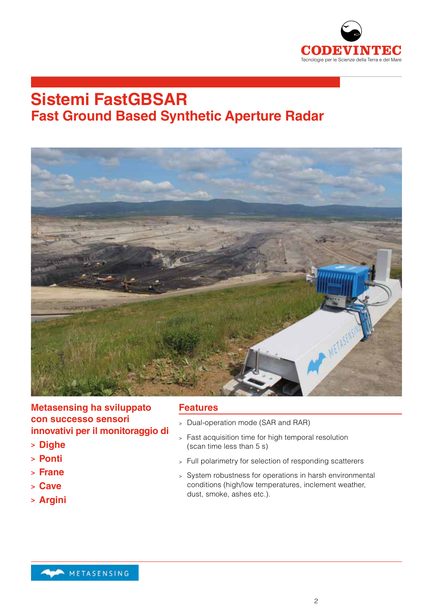

## **Sistemi FastGBSAR Fast Ground Based Synthetic Aperture Radar**



**Metasensing ha sviluppato con successo sensori innovativi per il monitoraggio di** 

- **> Dighe**
- **> Ponti**
- **> Frane**
- **> Cave**
- **> Argini**

#### **Features**

- <sup>&</sup>gt; Dual-operation mode (SAR and RAR)
- <sup>&</sup>gt; Fast acquisition time for high temporal resolution (scan time less than 5 s)
- <sup>&</sup>gt; Full polarimetry for selection of responding scatterers
- <sup>&</sup>gt; System robustness for operations in harsh environmental conditions (high/low temperatures, inclement weather, dust, smoke, ashes etc.).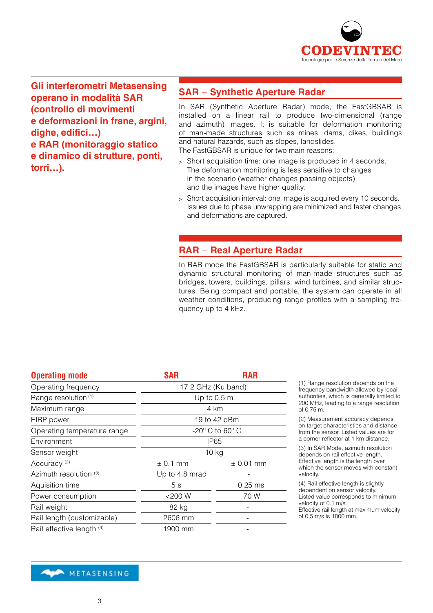

**Gli interferometri Metasensing operano in modalità SAR (controllo di movimenti e deformazioni in frane, argini, dighe, edifici…) e RAR (monitoraggio statico e dinamico di strutture, ponti, torri…).**

#### **SAR** − **Synthetic Aperture Radar**

In SAR (Synthetic Aperture Radar) mode, the FastGBSAR is installed on a linear rail to produce two-dimensional (range and azimuth) images. It is suitable for deformation monitoring of man-made structures such as mines, dams, dikes, buildings and natural hazards, such as slopes, landslides. The FastGBSAR is unique for two main reasons:

- <sup>&</sup>gt; Short acquisition time: one image is produced in 4 seconds. The deformation monitoring is less sensitive to changes in the scenario (weather changes passing objects) and the images have higher quality.
- <sup>&</sup>gt; Short acquisition interval: one image is acquired every 10 seconds. Issues due to phase unwrapping are minimized and faster changes and deformations are captured.

#### **RAR** − **Real Aperture Radar**

In RAR mode the FastGBSAR is particularly suitable for static and dynamic structural monitoring of man-made structures such as bridges, towers, buildings, pillars, wind turbines, and similar structures. Being compact and portable, the system can operate in all weather conditions, producing range profiles with a sampling frequency up to 4 kHz.

| <b>Operating mode</b>       | <b>SAR</b>                     | <b>RAR</b>    |  |
|-----------------------------|--------------------------------|---------------|--|
| Operating frequency         | 17.2 GHz (Ku band)             |               |  |
| Range resolution (1)        | Up to $0.5$ m                  |               |  |
| Maximum range               | 4 km                           |               |  |
| EIRP power                  | 19 to 42 dBm                   |               |  |
| Operating temperature range | $-20^\circ$ C to 60 $^\circ$ C |               |  |
| Environment                 | IP65                           |               |  |
| Sensor weight               | $10$ kg                        |               |  |
| Accuracy <sup>(2)</sup>     | $± 0.1$ mm                     | $\pm$ 0.01 mm |  |
| Azimuth resolution (3)      | Up to 4.8 mrad                 |               |  |
| Aquisition time             | 5s                             | $0.25$ ms     |  |
| Power consumption           | $<$ 200 W                      | 70 W          |  |
| Rail weight                 | 82 kg                          |               |  |
| Rail length (customizable)  | 2606 mm                        |               |  |
| Rail effective length (4)   | 1900 mm                        |               |  |

(1) Range resolution depends on the frequency bandwidth allowed by locai authorities, which is generally limited to 200 MHz, leading to a range resolution of 0.75 m.

(2) Measurement accuracy depends on target characteristics and distance from the sensor. Listed values are for a corner reflector at 1 km distance.

(3) In SAR Mode, azimuth resolution depends on rail effective length. Effective length is the length over which the sensor moves with constant velocity.

(4) Rail effective length is slightly dependent on sensor velocity. Listed value corresponds to minimum velocity of 0.1 m/s. Effective rail length at maximum velocity of 0.5 m/s is 1800 mm.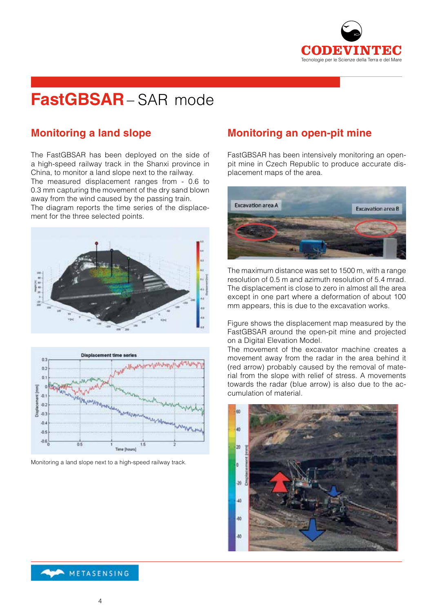

# **FastGBSAR**– SAR mode

### **Monitoring a land slope**

The FastGBSAR has been deployed on the side of a high-speed railway track in the Shanxi province in China, to monitor a land slope next to the railway. The measured displacement ranges from - 0.6 to 0.3 mm capturing the movement of the dry sand blown away from the wind caused by the passing train.

The diagram reports the time series of the displacement for the three selected points.





Monitoring a land slope next to a high-speed railway track.

#### **Monitoring an open-pit mine**

FastGBSAR has been intensively monitoring an openpit mine in Czech Republic to produce accurate displacement maps of the area.



The maximum distance was set to 1500 m, with a range resolution of 0.5 m and azimuth resolution of 5.4 mrad. The displacement is close to zero in almost all the area except in one part where a deformation of about 100 mm appears, this is due to the excavation works.

Figure shows the displacement map measured by the FastGBSAR around the open-pit mine and projected on a Digital Elevation Model.

The movement of the excavator machine creates a movement away from the radar in the area behind it (red arrow) probably caused by the removal of material from the slope with relief of stress. A movements towards the radar (blue arrow) is also due to the accumulation of material.

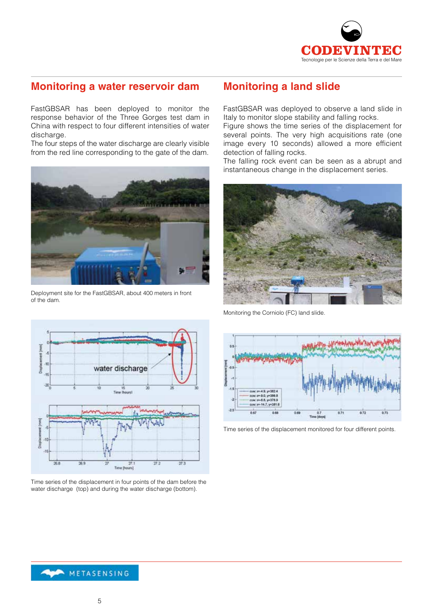

### **Monitoring a water reservoir dam**

FastGBSAR has been deployed to monitor the response behavior of the Three Gorges test dam in China with respect to four different intensities of water discharge.

The four steps of the water discharge are clearly visible from the red line corresponding to the gate of the dam.



Deployment site for the FastGBSAR, about 400 meters in front of the dam.

### **Monitoring a land slide**

FastGBSAR was deployed to observe a land slide in Italy to monitor slope stability and falling rocks.

Figure shows the time series of the displacement for several points. The very high acquisitions rate (one image every 10 seconds) allowed a more efficient detection of falling rocks.

The falling rock event can be seen as a abrupt and instantaneous change in the displacement series.



Monitoring the Corniolo (FC) land slide.



Time series of the displacement monitored for four different points.



Time series of the displacement in four points of the dam before the water discharge (top) and during the water discharge (bottom).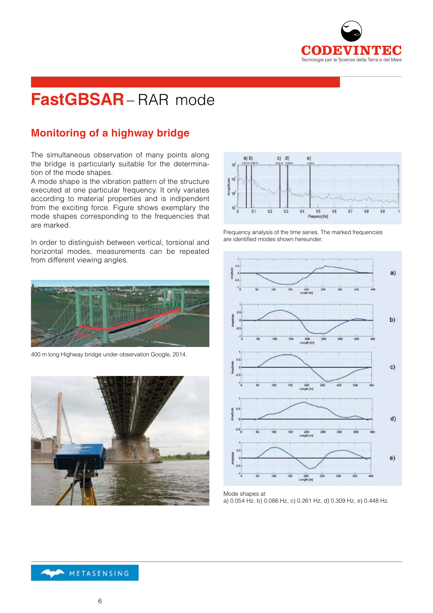

# **FastGBSAR**– RAR mode

### **Monitoring of a highway bridge**

The simultaneous observation of many points along the bridge is particularly suitable for the determination of the mode shapes.

A mode shape is the vibration pattern of the structure executed at one particular frequency. It only variates according to material properties and is indipendent from the exciting force. Figure shows exemplary the mode shapes corresponding to the frequencies that are marked.

In order to distinguish between vertical, torsional and horizontal modes, measurements can be repeated from different viewing angles.



400 m long Highway bridge under observation Google, 2014.





Frequency analysis of the time series. The marked frequencies are identified modes shown hereunder.



Mode shapes at

a) 0.054 Hz, b) 0.086 Hz, c) 0.261 Hz, d) 0.309 Hz, e) 0.448 Hz.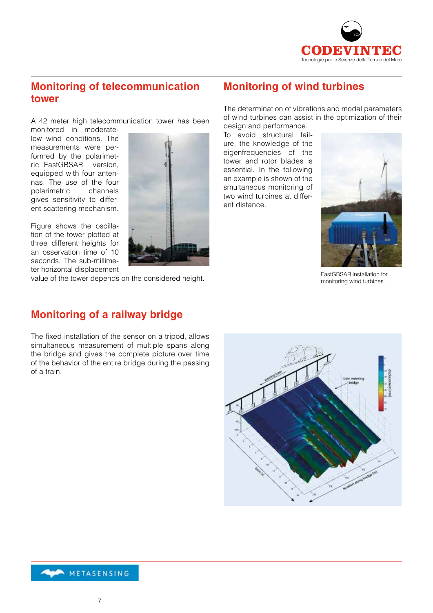

#### **Monitoring of telecommunication tower**

A 42 meter high telecommunication tower has been

monitored in moderatelow wind conditions. The measurements were performed by the polarimetric FastGBSAR version, equipped with four antennas. The use of the four polarimetric channels gives sensitivity to different scattering mechanism.

Figure shows the oscillation of the tower plotted at three different heights for an osservation time of 10 seconds. The sub-millimeter horizontal displacement



value of the tower depends on the considered height.

## **Monitoring of wind turbines**

The determination of vibrations and modal parameters of wind turbines can assist in the optimization of their design and performance.

To avoid structural failure, the knowledge of the eigenfrequencies of the tower and rotor blades is essential. In the following an example is shown of the smultaneous monitoring of two wind turbines at different distance.



FastGBSAR installation for monitoring wind turbines.

### **Monitoring of a railway bridge**

The fixed installation of the sensor on a tripod, allows simultaneous measurement of multiple spans along the bridge and gives the complete picture over time of the behavior of the entire bridge during the passing of a train.